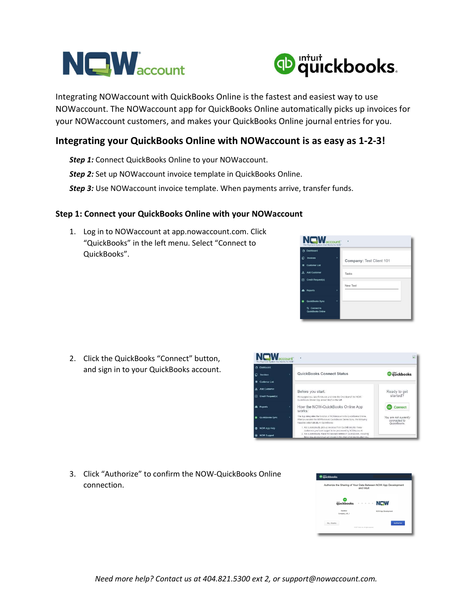



Integrating NOWaccount with QuickBooks Online is the fastest and easiest way to use NOWaccount. The NOWaccount app for QuickBooks Online automatically picks up invoices for your NOWaccount customers, and makes your QuickBooks Online journal entries for you.

## Integrating your QuickBooks Online with NOWaccount is as easy as 1-2-3!

- Step 1: Connect QuickBooks Online to your NOWaccount.
- Step 2: Set up NOWaccount invoice template in QuickBooks Online.
- Step 3: Use NOWaccount invoice template. When payments arrive, transfer funds.

## Step 1: Connect your QuickBooks Online with your NOWaccount

1. Log in to NOWaccount at app.nowaccount.com. Click "QuickBooks" in the left menu. Select "Connect to QuickBooks".



2. Click the QuickBooks "Connect" button, and sign in to your QuickBooks account.



3. Click "Authorize" to confirm the NOW-QuickBooks Online connection.

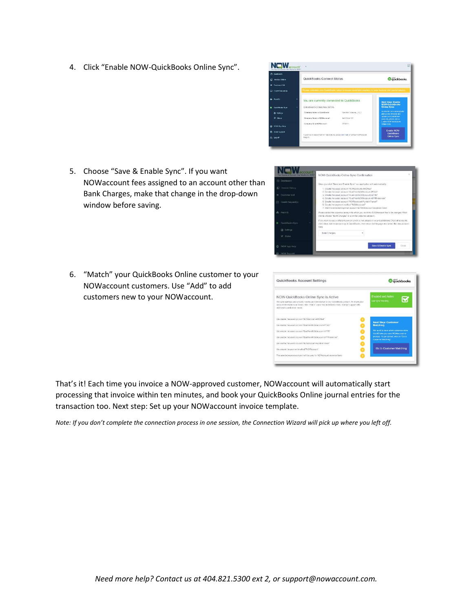4. Click "Enable NOW-QuickBooks Online Sync".



OW Order Books Online 1

NEW

- 5. Choose "Save & Enable Sync". If you want NOWaccount fees assigned to an account other than Bank Charges, make that change in the drop-down window before saving.
- 6. "Match" your QuickBooks Online customer to your NOWaccount customers. Use "Add" to add customers new to your NOWaccount.



That's it! Each time you invoice a NOW-approved customer, NOWaccount will automatically start processing that invoice within ten minutes, and book your QuickBooks Online journal entries for the transaction too. Next step: Set up your NOWaccount invoice template.

Note: If you don't complete the connection process in one session, the Connection Wizard will pick up where you left off.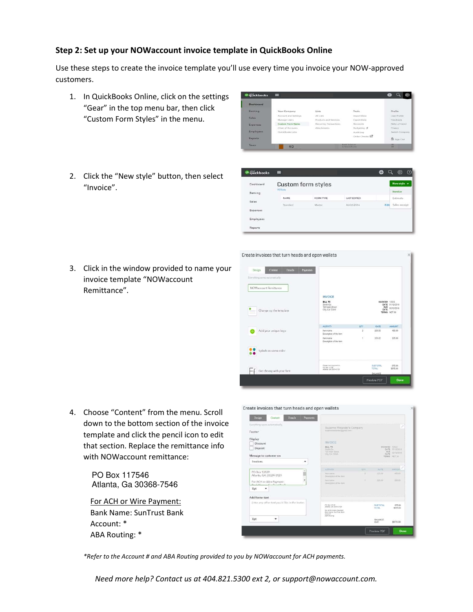## Step 2: Set up your NOWaccount invoice template in QuickBooks Online

Use these steps to create the invoice template you'll use every time you invoice your NOW-approved customers.

**OD** auickbooks

- 1. In QuickBooks Online, click on the settings "Gear" in the top menu bar, then click "Custom Form Styles" in the menu.
- 2. Click the "New style" button, then select "Invoice".

| <sup>o</sup> quickbooks | ≡         |                    |                    | Œ    | $\odot$<br>ණු |
|-------------------------|-----------|--------------------|--------------------|------|---------------|
| Dashboard               |           | Custom form styles |                    |      | New style +   |
| Banking                 | All lists |                    |                    |      | Invoice       |
| Sales                   | NAME      | FORM TYPE          | <b>LAST EDITED</b> |      | Estimate      |
|                         | Standard  | Mostor             | 06/02/2016         | Edit | Sales receipt |
| Expenses                |           |                    |                    |      |               |
| Employees               |           |                    |                    |      |               |
| Reports                 |           |                    |                    |      |               |

 $\bullet$  Q  $\circledast$ 

3. Click in the window provided to name your invoice template "NOWaccount Remittance".

| Design                           | Content                   | <b>Emails</b> | Payments |                                                                       |                |                                      |                                               |
|----------------------------------|---------------------------|---------------|----------|-----------------------------------------------------------------------|----------------|--------------------------------------|-----------------------------------------------|
| Everything swest autoroatically, |                           |               |          |                                                                       |                |                                      |                                               |
| NOWaccount Remittance            |                           |               |          |                                                                       |                |                                      |                                               |
|                                  |                           |               |          | <b>INVOICE</b>                                                        |                |                                      |                                               |
|                                  | Change up the template.   |               |          | BILL TO<br>Smith Co.<br>123 Main Street<br>City, CA 12345             |                | <b>INVOICES 12345</b><br>DUE<br>DATE | DATE 01/12/2016<br>02/12/2016<br>TERMS NET 30 |
|                                  |                           |               |          | <b>ACTIVITY</b>                                                       | <b>QTY</b>     | RATE                                 | <b>AMOUNT</b>                                 |
|                                  | Add your unique logo      |               |          | <b>Bern</b> name<br>Description of the term                           | ž              | 225.00                               | 450.00                                        |
|                                  |                           |               |          | <b>Tiern</b> earne<br>Description of the item                         | $\overline{1}$ | 225.00                               | 225.00                                        |
|                                  | Splash on some color      |               |          |                                                                       |                |                                      |                                               |
|                                  | Get choosy with your font |               |          | <b>PASK/ent payment for</b><br>PO Box 13129<br>Atlanta, GA 30324-0128 |                | SUBTOTAL<br><b>TOTAL</b>             | 675.00<br>\$675.00                            |
|                                  |                           |               |          |                                                                       |                | <b>BALANCE</b>                       |                                               |

4. Choose "Content" from the menu. Scroll down to the bottom section of the invoice template and click the pencil icon to edit that section. Replace the remittance info with NOWaccount remittance:

> PO Box 117546 Atlanta, Ga 30368-7546

For ACH or Wire Payment: Bank Name: SunTrust Bank Account: \* ABA Routing: \*

| Design<br><b>Emails</b><br>Content                                        | Payments |                                                                                    |            |                           |                                                                  |
|---------------------------------------------------------------------------|----------|------------------------------------------------------------------------------------|------------|---------------------------|------------------------------------------------------------------|
| Everything saves automatically.                                           |          | Suzanne Welander's Company                                                         |            |                           |                                                                  |
| Footer                                                                    |          | INDOORSHIP (I) PALICE                                                              |            |                           |                                                                  |
| Display<br>Discount                                                       |          | INVOICE                                                                            |            |                           |                                                                  |
| Deposit<br>Message to customer on                                         |          | <b>BILL TO</b><br>SHIP OIL<br>123 Main Zivern<br>C/L CA 12345                      |            | <b>DUE</b><br><b>DATE</b> | INVOICER 12345<br>CATE OUIDZON<br><b>GOVERNME</b><br>TERMS NET35 |
| Invoices.                                                                 | ٠        |                                                                                    |            |                           |                                                                  |
| PO Box 13129                                                              |          | <b>ACTIVITY</b>                                                                    | <b>GTV</b> | <b>WATE</b>               | <b>AMOUNT</b>                                                    |
| Atlanta, GA 30324-0129                                                    |          | Norn tigerid<br>Description of the ment                                            | z          | 225.00                    | 430.00                                                           |
| For ACH or Wire Payment:<br>$B_1, B_2, C_3, C_4, C_5, C_6, C_7, C_8, C_9$ |          | <b>Dent Kirror</b><br>Description of the form                                      | ٠          | 225.00                    | 225.00                                                           |
| 8pt<br>۰                                                                  |          |                                                                                    |            |                           |                                                                  |
| Add footer text                                                           |          |                                                                                    |            |                           |                                                                  |
| Enter any other text you'd like in the footen:                            |          | PO Box 12129<br>Atlanta, GA 30324-0126                                             |            | SUBTOTAL<br>TOTAL         | 675.00<br>\$675.00                                               |
|                                                                           |          | For ACH or Wire Fayment<br><b>Bank Name: Sun Plug Bank</b><br>Annual:<br>ASA Asump |            |                           |                                                                  |
| 8pt<br>٠                                                                  |          |                                                                                    |            | BALANCE.<br><b>DUE</b>    | \$675.00                                                         |
|                                                                           |          |                                                                                    |            | <b>Proviow PDF</b>        | Done                                                             |

\*Refer to the Account # and ABA Routing provided to you by NOWaccount for ACH payments.

Need more help? Contact us at 404.821.5300 ext 2, or support@nowaccount.com.